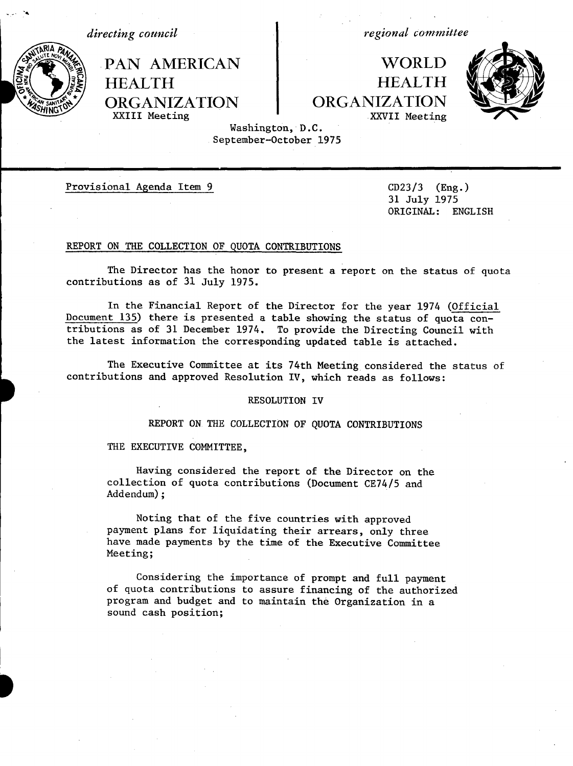*directing council*

. " A

.PAN AMERICAN HEALTH ORGANIZATION XXIII Meeting

*regional committee*

WORLD 4 HEALTH ORGANIZATION XXVII Meeting



Washington, D.C. September-October 1975

\_\_ \_\_ \_\_\_

Provisional Agenda Item 9 CD23/3 (Eng.)

31 July 1975 ORIGINAL: ENGLISH

### REPORT ON THE COLLECTION OF QUOTA CONTRIBUTIONS

The Director has the honor to present a report on the status of quota contributions as of 31 July 1975.

In the Financial Report of the Director for the year 1974 (Official Document 135) there is presented a table showing the status of quota contributions as of 31 December 1974. To provide the Directing Council with the latest information the corresponding updated table is attached.

The Executive Committee at its 74th Meeting considered the status of contributions and approved Resolution IV, which reads as follows:

#### RESOLUTION IV

REPORT ON THE COLLECTION OF QUOTA CONTRIBUTIONS

THE EXECUTIVE COMMITTEE,

Having considered the report of the Director on the collection of quota contributions (Document CE74/5 and Addendum);

Noting that of the five countries with approved payment plans for liquidating their arrears, only three have made payments by the time of the Executive Committee Meeting;

Considering the importance of prompt and full payment of quota contributions to assure financing of the authorized program and budget and to maintain the Organization in a sound cash position;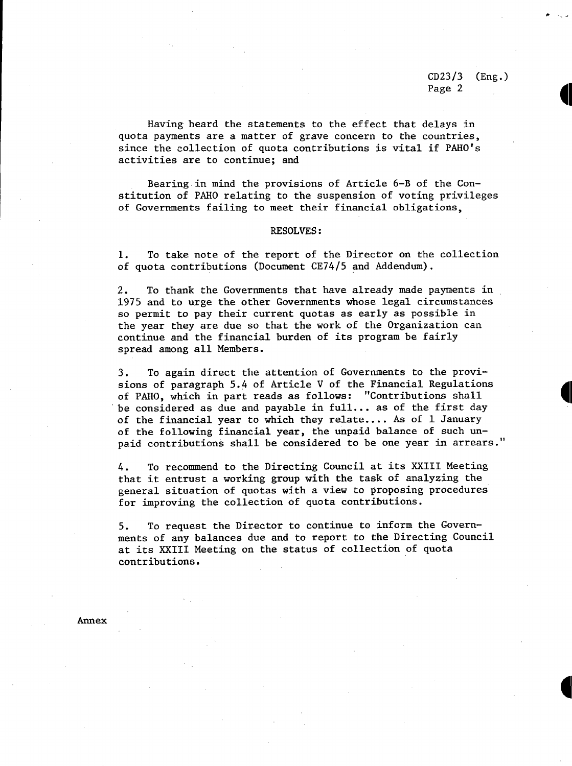**Il**

Having heard the statements to the effect that delays in quota payments are a matter of grave concern to the countries, since the collection of quota contributions is vital if PAHO's activities are to continue; and

Bearing in mind the provisions of Article 6-B of the Constitution of PAHO relating to the suspension of voting privileges of Governments failing to meet their financial obligations,

#### RESOLVES:

1. To take note of the report of the Director on the collection of quota contributions (Document CE74/5 and Addendum).

2. To thank the Governments that have already made payments in 1975 and to urge the other Governments whose legal circumstances so permit to pay their current quotas as early as possible in the year they are due so that the work of the Organization can continue and the financial burden of its program be fairly spread among all Members.

3. To again direct the attention of Governments to the provisions of paragraph 5.4 of Article V of the Financial Regulations of PAHO, which in part reads as follows: "Contributions shall be considered as due and payable in full... as of the first day of the financial year to which they relate.... As of 1 January of the following financial year, the unpaid balance of such unpaid contributions shall be considered to be one year in arrears."

4. To recommend to the Directing Council at its XXIII Meeting that it entrust a working group with the task of analyzing the general situation of quotas with a view to proposing procedures for improving the collection of quota contributions.

5. To request the Director to continue to inform the Governments of any balances due and to report to the Directing Council at its XXIII Meeting on the status of collection of quota contributions.

Annex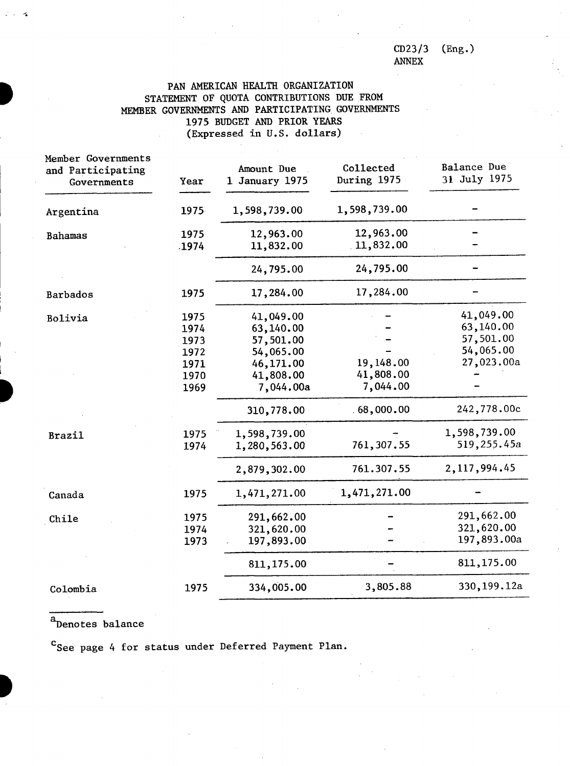CD23/3 ANNEX (Eng.)

## PAN AMERICAN HEALTH ORGANIZATION STATEMENT OF QUOTA CONTRIBUTIONS DUE FROM MEMBER GOVERNMENTS AND PARTICIPATING GOVERNMENTS 1975 BUDGET AND PRIOR YEARS (Expressed in U.S. dollars)

| Member Governments<br>and Participating<br>Governments | Year                                                                 | Amount Due<br>1 January 1975                                                                                                          | Collected<br>During 1975                                        | Balance Due<br>31 July 1975                                                                                  |
|--------------------------------------------------------|----------------------------------------------------------------------|---------------------------------------------------------------------------------------------------------------------------------------|-----------------------------------------------------------------|--------------------------------------------------------------------------------------------------------------|
| Argentina                                              | 1975                                                                 | 1,598,739.00                                                                                                                          | 1,598,739.00                                                    |                                                                                                              |
| Bahamas                                                | 1975<br>.1974                                                        | 12,963.00<br>11,832.00                                                                                                                | 12,963.00<br>11,832.00                                          |                                                                                                              |
|                                                        |                                                                      | 24,795.00                                                                                                                             | 24,795.00                                                       |                                                                                                              |
| Barbados                                               | 1975                                                                 | 17,284.00                                                                                                                             | 17,284.00                                                       |                                                                                                              |
| Bolivia<br><b>Brazil</b>                               | 1975<br>1974<br>1973<br>1972<br>1971<br>1970<br>1969<br>1975<br>1974 | 41,049.00<br>63,140.00<br>57,501.00<br>54,065.00<br>46,171.00<br>41,808.00<br>7,044.00a<br>310,778.00<br>1,598,739.00<br>1,280,563.00 | 19,148.00<br>41,808.00<br>7,044.00<br>.68,000.00<br>761, 307.55 | 41,049.00<br>63,140.00<br>57,501.00<br>54,065.00<br>27,023.00a<br>242,778.00c<br>1,598,739.00<br>519,255.45a |
| Canada                                                 | 1975                                                                 | 2,879,302.00<br>1,471,271.00                                                                                                          | 761.307.55<br>1,471,271.00                                      | 2, 117, 994.45                                                                                               |
| Chile                                                  | 1975<br>1974<br>1973                                                 | 291,662.00<br>321,620.00<br>197,893.00<br>811,175.00                                                                                  |                                                                 | 291,662.00<br>321,620.00<br>197,893.00a<br>811,175.00                                                        |
| Colombia                                               | 1975                                                                 | 334,005.00                                                                                                                            | 3,805.88                                                        | 330,199.12a                                                                                                  |

a<br>Denotes balance

C<sub>See</sub> page 4 for status under Deferred Payment Plan.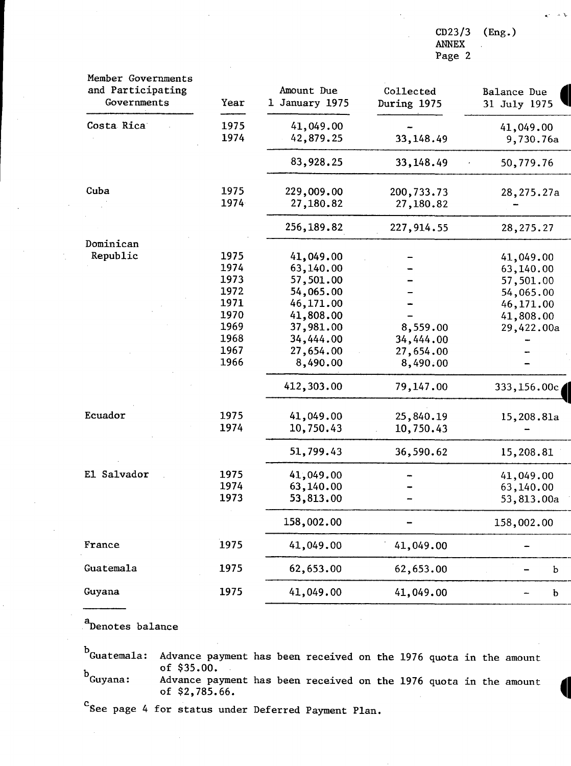$CD23/3$ ANNEX Page 2  $(Eng.)$ 

| Member Governments<br>and Participating<br>Governments | Year         | Amount Due<br>1 January 1975 | Collected<br>During 1975 | Balance Due<br>31 July 1975 |
|--------------------------------------------------------|--------------|------------------------------|--------------------------|-----------------------------|
| Costa Rica                                             | 1975<br>1974 | 41,049.00<br>42,879.25       | 33,148.49                | 41,049.00<br>9,730.76a      |
|                                                        |              | 83,928.25                    | 33,148.49                | 50,779.76                   |
| Cuba                                                   | 1975<br>1974 | 229,009.00<br>27,180.82      | 200,733.73<br>27,180.82  | 28,275.27a                  |
|                                                        |              | 256,189.82                   | 227, 914.55              | 28, 275. 27                 |
| Dominican                                              |              |                              |                          |                             |
| Republic                                               | 1975         | 41,049.00                    |                          | 41,049.00                   |
|                                                        | 1974         | 63,140.00                    |                          | 63,140.00                   |
|                                                        | 1973         | 57,501.00                    |                          | 57,501.00                   |
|                                                        | 1972         | 54,065.00                    |                          | 54,065.00                   |
|                                                        | 1971         | 46,171.00                    |                          | 46,171.00                   |
|                                                        | 1970         | 41,808.00                    |                          | 41,808.00                   |
|                                                        | 1969         | 37,981.00                    | 8,559.00                 | 29,422.00a                  |
|                                                        | 1968         | 34,444.00                    | 34,444.00                |                             |
|                                                        | 1967         | 27,654.00                    | 27,654.00                |                             |
|                                                        | 1966         | 8,490.00                     | 8,490.00                 |                             |
|                                                        |              | 412,303.00                   | 79,147.00                | 333,156.00c                 |
| Ecuador                                                | 1975         | 41,049.00                    | 25,840.19                | 15,208.81a                  |
|                                                        | 1974         | 10,750.43                    | 10,750.43                |                             |
|                                                        |              | 51,799.43                    | 36,590.62                | 15,208.81                   |
| El Salvador                                            | 1975         | 41,049.00                    |                          | 41,049.00                   |
|                                                        | 1974         | 63,140.00                    |                          | 63,140.00                   |
|                                                        | 1973         | 53,813.00                    |                          | 53,813.00a                  |
|                                                        |              | 158,002.00                   |                          | 158,002.00                  |
| France                                                 | 1975         | 41,049.00                    | 41,049.00                |                             |
| Guatemala                                              | 1975         | 62,653.00                    | 62,653.00                | b                           |
| Guyana                                                 | 1975         | 41,049.00                    | 41,049.00                | b                           |

aDenotes balance

Advance payment has been received on the 1976 quota in the amount of \$35.00. Advance payment of \$2,785.66. Guyana: Advance payment has been received on the 1976 quota in the amount of  $$2,785.66$ .  $^{\rm b}$ Guatemala:

Csee page 4 for status under Deferred Payment Plan.

цý.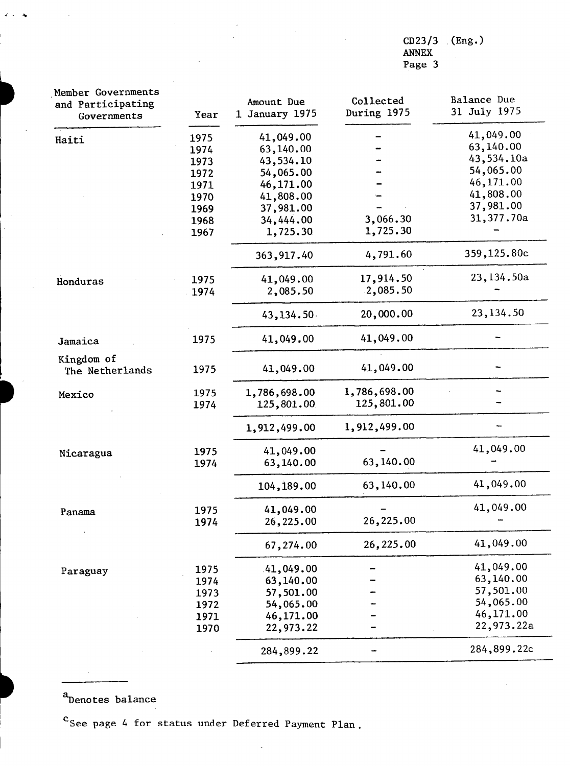CD23/3 ANNEX **(Eng.)**

Page 3

| Member Governments<br>and Participating<br>Governments | Year | Amount Due<br>1 January 1975 | Collected<br>During 1975 | Balance Due<br>31 July 1975 |
|--------------------------------------------------------|------|------------------------------|--------------------------|-----------------------------|
| Haiti                                                  | 1975 | 41,049.00                    |                          | 41,049.00                   |
|                                                        | 1974 | 63,140.00                    |                          | 63,140.00                   |
|                                                        | 1973 | 43,534.10                    |                          | 43,534.10a                  |
|                                                        | 1972 | 54,065.00                    |                          | 54,065.00                   |
|                                                        | 1971 | 46,171.00                    |                          | 46,171.00                   |
|                                                        | 1970 | 41,808.00                    |                          | 41,808.00                   |
|                                                        | 1969 | 37,981.00                    |                          | 37,981.00                   |
|                                                        | 1968 | 34,444.00                    | 3,066.30                 | 31,377.70a                  |
|                                                        | 1967 | 1,725.30                     | 1,725.30                 |                             |
|                                                        |      | 363,917.40                   | 4,791.60                 | 359,125.80c                 |
| Honduras                                               | 1975 | 41,049.00                    | 17,914.50                | 23,134.50a                  |
|                                                        | 1974 | 2,085.50                     | .2,085.50                |                             |
|                                                        |      | 43,134.50                    | 20,000.00                | 23, 134.50                  |
| Jamaica                                                | 1975 | 41,049.00                    | 41,049.00                |                             |
| Kingdom of<br>The Netherlands                          | 1975 | 41,049.00                    | 41,049.00                |                             |
| Mexico                                                 | 1975 | 1,786,698.00                 | 1,786,698.00             |                             |
|                                                        | 1974 | 125,801.00                   | 125,801.00               |                             |
|                                                        |      | 1,912,499.00                 | 1,912,499.00             |                             |
| Nicaragua                                              | 1975 | 41,049.00                    |                          | 41,049.00                   |
|                                                        | 1974 | 63,140.00                    | 63,140.00                |                             |
|                                                        |      | 104,189.00                   | 63,140.00                | 41,049.00                   |
| Panama                                                 | 1975 | 41,049.00                    |                          | 41,049.00                   |
|                                                        | 1974 | 26,225.00                    | 26,225.00                |                             |
|                                                        |      | 67,274.00                    | 26,225.00                | 41,049.00                   |
| Paraguay                                               | 1975 | 41,049.00                    |                          | 41,049.00                   |
|                                                        | 1974 | 63,140.00                    |                          | 63,140.00                   |
|                                                        | 1973 | 57,501.00                    |                          | 57,501.00                   |
|                                                        | 1972 | 54,065.00                    |                          | 54,065.00                   |
|                                                        | 1971 | 46,171.00                    |                          | 46,171.00                   |
|                                                        | 1970 | 22,973.22                    |                          | 22,973.22a                  |
|                                                        |      | 284,899.22                   |                          | 284,899.22c                 |

 $\label{eq:2.1} \frac{1}{\sqrt{2}}\int_{0}^{\infty}\frac{1}{\sqrt{2\pi}}\left(\frac{1}{\sqrt{2\pi}}\right)^{2}d\mu\left(\frac{1}{\sqrt{2\pi}}\right) \frac{d\mu}{\sqrt{2\pi}}\,.$ 

 $\bar{z}$ 

a<br>Denotes balance

 $\omega_{\rm c}$ 4

 $\sim$ 

C<sub>See page 4</sub> for status under Deferred Payment Plan.